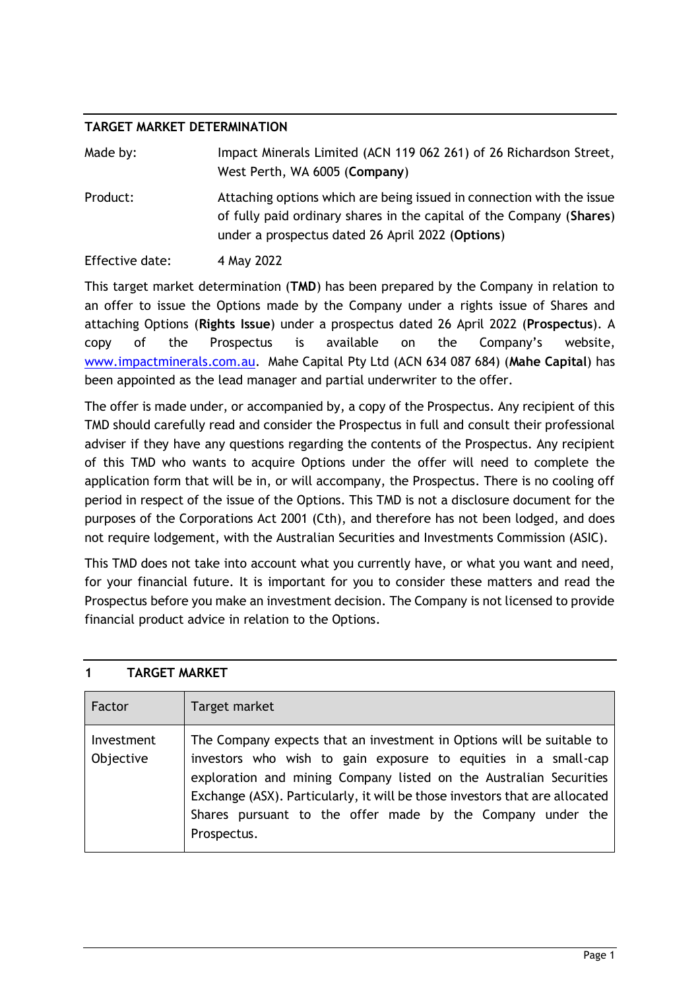## **TARGET MARKET DETERMINATION**

| Made by:        | Impact Minerals Limited (ACN 119 062 261) of 26 Richardson Street,<br>West Perth, WA 6005 (Company)                                                                                               |
|-----------------|---------------------------------------------------------------------------------------------------------------------------------------------------------------------------------------------------|
| Product:        | Attaching options which are being issued in connection with the issue<br>of fully paid ordinary shares in the capital of the Company (Shares)<br>under a prospectus dated 26 April 2022 (Options) |
| Effective date: | 4 May 2022                                                                                                                                                                                        |

This target market determination (**TMD**) has been prepared by the Company in relation to an offer to issue the Options made by the Company under a rights issue of Shares and attaching Options (**Rights Issue**) under a prospectus dated 26 April 2022 (**Prospectus**). A copy of the Prospectus is available on the Company's website, [www.impactminerals.com.au.](http://www.impactminerals.com.au/) Mahe Capital Pty Ltd (ACN 634 087 684) (**Mahe Capital**) has been appointed as the lead manager and partial underwriter to the offer.

The offer is made under, or accompanied by, a copy of the Prospectus. Any recipient of this TMD should carefully read and consider the Prospectus in full and consult their professional adviser if they have any questions regarding the contents of the Prospectus. Any recipient of this TMD who wants to acquire Options under the offer will need to complete the application form that will be in, or will accompany, the Prospectus. There is no cooling off period in respect of the issue of the Options. This TMD is not a disclosure document for the purposes of the Corporations Act 2001 (Cth), and therefore has not been lodged, and does not require lodgement, with the Australian Securities and Investments Commission (ASIC).

This TMD does not take into account what you currently have, or what you want and need, for your financial future. It is important for you to consider these matters and read the Prospectus before you make an investment decision. The Company is not licensed to provide financial product advice in relation to the Options.

| Factor                  | Target market                                                                                                                                                                                                                                                                                                                                                             |
|-------------------------|---------------------------------------------------------------------------------------------------------------------------------------------------------------------------------------------------------------------------------------------------------------------------------------------------------------------------------------------------------------------------|
| Investment<br>Objective | The Company expects that an investment in Options will be suitable to<br>investors who wish to gain exposure to equities in a small-cap<br>exploration and mining Company listed on the Australian Securities<br>Exchange (ASX). Particularly, it will be those investors that are allocated<br>Shares pursuant to the offer made by the Company under the<br>Prospectus. |

## **1 TARGET MARKET**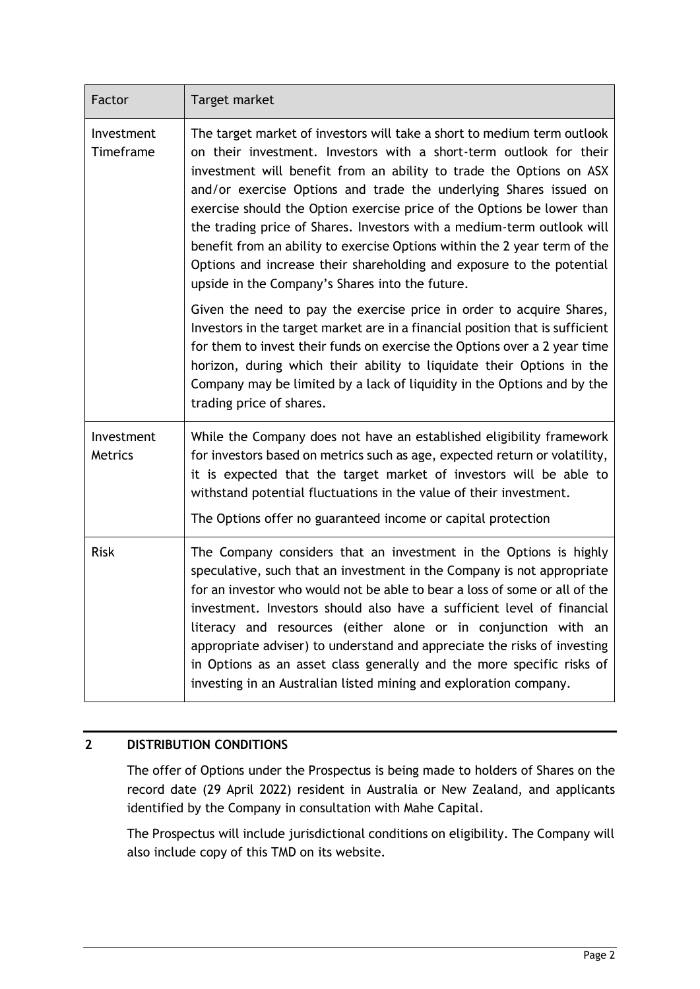| Factor                  | Target market                                                                                                                                                                                                                                                                                                                                                                                                                                                                                                                                                                                                                                          |
|-------------------------|--------------------------------------------------------------------------------------------------------------------------------------------------------------------------------------------------------------------------------------------------------------------------------------------------------------------------------------------------------------------------------------------------------------------------------------------------------------------------------------------------------------------------------------------------------------------------------------------------------------------------------------------------------|
| Investment<br>Timeframe | The target market of investors will take a short to medium term outlook<br>on their investment. Investors with a short-term outlook for their<br>investment will benefit from an ability to trade the Options on ASX<br>and/or exercise Options and trade the underlying Shares issued on<br>exercise should the Option exercise price of the Options be lower than<br>the trading price of Shares. Investors with a medium-term outlook will<br>benefit from an ability to exercise Options within the 2 year term of the<br>Options and increase their shareholding and exposure to the potential<br>upside in the Company's Shares into the future. |
|                         | Given the need to pay the exercise price in order to acquire Shares,<br>Investors in the target market are in a financial position that is sufficient<br>for them to invest their funds on exercise the Options over a 2 year time<br>horizon, during which their ability to liquidate their Options in the<br>Company may be limited by a lack of liquidity in the Options and by the<br>trading price of shares.                                                                                                                                                                                                                                     |
| Investment<br>Metrics   | While the Company does not have an established eligibility framework<br>for investors based on metrics such as age, expected return or volatility,<br>it is expected that the target market of investors will be able to<br>withstand potential fluctuations in the value of their investment.<br>The Options offer no guaranteed income or capital protection                                                                                                                                                                                                                                                                                         |
| <b>Risk</b>             | The Company considers that an investment in the Options is highly<br>speculative, such that an investment in the Company is not appropriate<br>for an investor who would not be able to bear a loss of some or all of the<br>investment. Investors should also have a sufficient level of financial<br>literacy and resources (either alone or in conjunction with an<br>appropriate adviser) to understand and appreciate the risks of investing<br>in Options as an asset class generally and the more specific risks of<br>investing in an Australian listed mining and exploration company.                                                        |

# **2 DISTRIBUTION CONDITIONS**

The offer of Options under the Prospectus is being made to holders of Shares on the record date (29 April 2022) resident in Australia or New Zealand, and applicants identified by the Company in consultation with Mahe Capital.

The Prospectus will include jurisdictional conditions on eligibility. The Company will also include copy of this TMD on its website.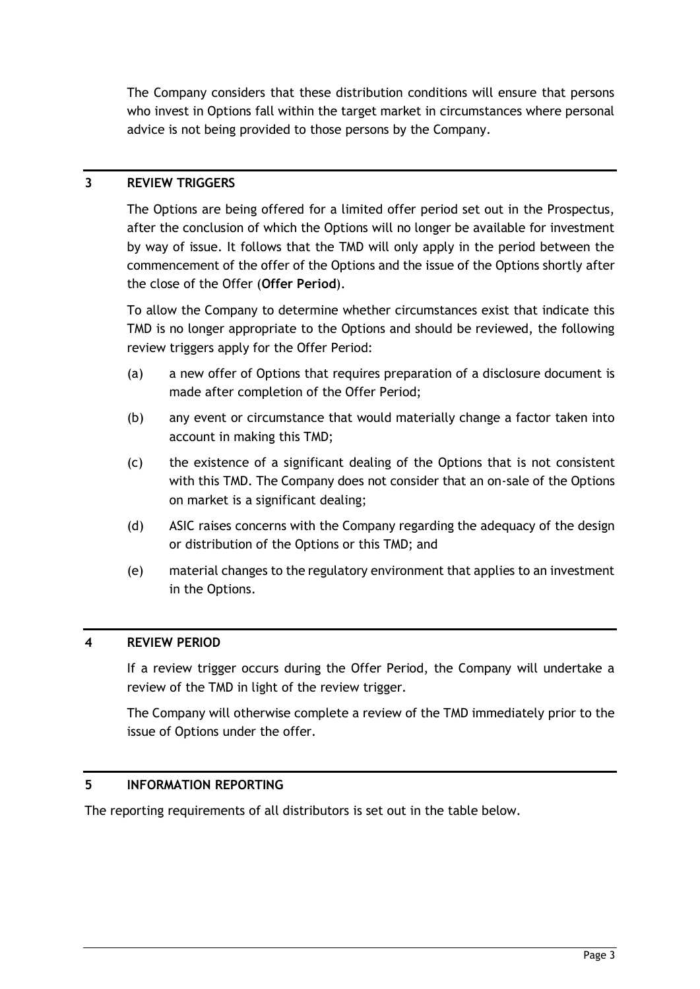The Company considers that these distribution conditions will ensure that persons who invest in Options fall within the target market in circumstances where personal advice is not being provided to those persons by the Company.

## **3 REVIEW TRIGGERS**

The Options are being offered for a limited offer period set out in the Prospectus, after the conclusion of which the Options will no longer be available for investment by way of issue. It follows that the TMD will only apply in the period between the commencement of the offer of the Options and the issue of the Options shortly after the close of the Offer (**Offer Period**).

To allow the Company to determine whether circumstances exist that indicate this TMD is no longer appropriate to the Options and should be reviewed, the following review triggers apply for the Offer Period:

- (a) a new offer of Options that requires preparation of a disclosure document is made after completion of the Offer Period;
- (b) any event or circumstance that would materially change a factor taken into account in making this TMD;
- (c) the existence of a significant dealing of the Options that is not consistent with this TMD. The Company does not consider that an on-sale of the Options on market is a significant dealing;
- (d) ASIC raises concerns with the Company regarding the adequacy of the design or distribution of the Options or this TMD; and
- (e) material changes to the regulatory environment that applies to an investment in the Options.

## **4 REVIEW PERIOD**

If a review trigger occurs during the Offer Period, the Company will undertake a review of the TMD in light of the review trigger.

The Company will otherwise complete a review of the TMD immediately prior to the issue of Options under the offer.

## **5 INFORMATION REPORTING**

The reporting requirements of all distributors is set out in the table below.